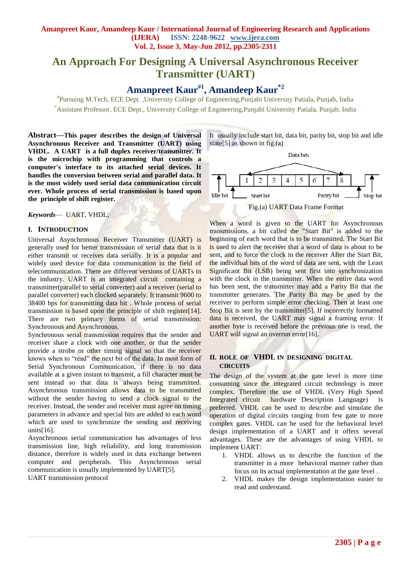# **An Approach For Designing A Universal Asynchronous Receiver Transmitter (UART)**

**Amanpreet Kaur#1, Amandeep Kaur\*2**

# Pursuing M.Tech, ECE Dept. ,University College of Engineering,Punjabi University Patiala, Punjab, India \*Assistant Professor, ECE Dept., University College of Engineering,Punjabi University Patiala, Punjab, India

**Abstract***—***This paper describes the design of Universal Asynchronous Receiver and Transmitter (UART) using VHDL. A UART is a full duplex receiver/transmitter. It is the microchip with programming that controls a computer's interface to its attached serial devices. It handles the conversion between serial and parallel data. It is the most widely used serial data communication circuit ever. Whole process of serial transmission is based upon the principle of shift register.**

*Keywords*— UART, VHDL;

#### **I. INTRODUCTION**

Universal Asynchronous Receiver Transmitter (UART) is generally used for better transmission of serial data that is it either transmit or receives data serially. It is a popular and widely used device for data communication in the field of telecommunication. There are different versions of UARTs in the industry. UART is an integrated circuit containing a transmitter(parallel to serial converter) and a receiver (serial to parallel converter) each clocked separately. It transmit 9600 to 38400 bps for transmitting data bit . Whole process of serial transmission is based upon the principle of shift register[14]. There are two primary forms of serial transmission: Synchronous and Asynchronous.

Synchronous serial transmission requires that the sender and receiver share a clock with one another, or that the sender provide a strobe or other timing signal so that the receiver knows when to "read" the next bit of the data. In most form of Serial Synchronous Communication, if there is no data available at a given instant to transmit, a fill character must be sent instead so that data is always being transmitted. Asynchronous transmission allows data to be transmitted without the sender having to send a clock signal to the receiver. Instead, the sender and receiver must agree on timing parameters in advance and special bits are added to each word which are used to synchronize the sending and receiving units<sup>[16]</sup>.

Asynchronous serial communication has advantages of less transmission line, high reliability, and long transmission distance, therefore is widely used in data exchange between computer and peripherals. This Asynchronous serial communication is usually implemented by UART[5]. UART transmission protocol

It usually include start bit, data bit, parity bit, stop bit and idle state[5] as shown in fig.(a)



When a word is given to the UART for Asynchronous transmissions, a bit called the "Start Bit" is added to the beginning of each word that is to be transmitted. The Start Bit is used to alert the receiver that a word of data is about to be sent, and to force the clock in the receiver After the Start Bit, the individual bits of the word of data are sent, with the Least Significant Bit (LSB) being sent first into synchronization with the clock in the transmitter. When the entire data word has been sent, the transmitter may add a Parity Bit that the transmitter generates. The Parity Bit may be used by the receiver to perform simple error checking. Then at least one Stop Bit is sent by the transmitter[5]. If incorrectly formatted data is received, the UART may signal a framing error. If another byte is received before the previous one is read, the UART will signal an overrun error[16].

#### **II. ROLE OF VHDL IN DESIGNING DIGITAL CIRCUITS**

The design of the system at the gate level is more time consuming since the integrated circuit technology is more complex. Therefore the use of VHDL (Very High Speed Integrated circuit hardware Description Language) is preferred. VHDL can be used to describe and simulate the operation of digital circuits ranging from few gate to more complex gates. VHDL can be used for the behavioral level design implementation of a UART and it offers several advantages. These are the advantages of using VHDL to implement UART:

- 1. VHDL allows us to describe the function of the transmitter in a more behavioral manner rather than focus on its actual implementation at the gate level .
- 2. VHDL makes the design implementation easier to read and understand.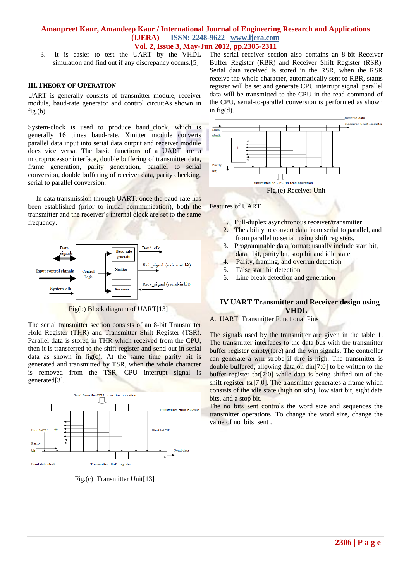3. It is easier to test the UART by the VHDL simulation and find out if any discrepancy occurs.<sup>[5]</sup>

#### **III.THEORY OF OPERATION**

UART is generally consists of transmitter module, receiver module, baud-rate generator and control circuitAs shown in fig.(b)

System-clock is used to produce baud\_clock, which is generally 16 times baud-rate. Xmitter module converts parallel data input into serial data output and receiver module does vice versa. The basic functions of a UART are a microprocessor interface, double buffering of transmitter data, frame generation, parity generation, parallel to serial conversion, double buffering of receiver data, parity checking, serial to parallel conversion.

In data transmission through UART, once the baud-rate has been established (prior to initial communication), both the transmitter and the receiver's internal clock are set to the same frequency.



Fig(b) Block diagram of UART[13]

The serial transmitter section consists of an 8-bit Transmitter Hold Register (THR) and Transmitter Shift Register (TSR). Parallel data is stored in THR which received from the CPU, then it is transferred to the shift register and send out in serial data as shown in  $f\{fg(c)}$ . At the same time parity bit is generated and transmitted by TSR, when the whole character is removed from the TSR, CPU interrupt signal is generated[3].



Fig.(c) Transmitter Unit[13]

The serial receiver section also contains an 8-bit Receiver Buffer Register (RBR) and Receiver Shift Register (RSR). Serial data received is stored in the RSR, when the RSR receive the whole character, automatically sent to RBR, status register will be set and generate CPU interrupt signal, parallel data will be transmitted to the CPU in the read command of the CPU, serial-to-parallel conversion is performed as shown in fig(d).



Features of UART

- 1. Full-duplex asynchronous receiver/transmitter
- 2. The ability to convert data from serial to parallel, and from parallel to serial, using shift registers.
- 3. Programmable data format: usually include start bit, data bit, parity bit, stop bit and idle state.
- 4. Parity, framing, and overrun detection
- 5. False start bit detection
- 6. Line break detection and generation

#### **IV UART Transmitter and Receiver design using VHDL**

#### A. UART Transmitter Functional Pins

The signals used by the transmitter are given in the table 1. The transmitter interfaces to the data bus with the transmitter buffer register empty(tbre) and the wrn signals. The controller can generate a wrn strobe if tbre is high. The transmitter is double buffered, allowing data on din[7:0] to be written to the buffer register tbr[7:0] while data is being shifted out of the shift register tsr[7:0]. The transmitter generates a frame which consists of the idle state (high on sdo), low start bit, eight data bits, and a stop bit.

The no bits sent controls the word size and sequences the transmitter operations. To change the word size, change the value of no bits sent.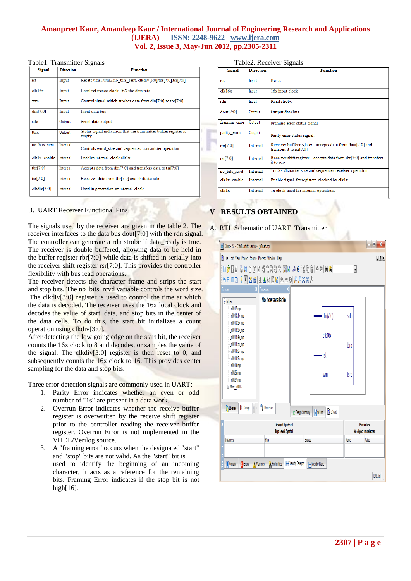#### Table1. Transmitter Signals

| Signal       | <b>Direction</b> | <b>Function</b>                                                           |
|--------------|------------------|---------------------------------------------------------------------------|
| rst          | Input            | Resets wm1,wm2,no bits sent, clkdiv[3:0],tbr[7:0],tsr[7:0]                |
| clk16x       | Input            | Local reference clock 16X the data rate                                   |
| wm           | Input            | Control signal which strobes data from din[7:0] to tbr[7:0]               |
| $\dim[7:0]$  | Input            | Input data bus                                                            |
| sdo          | Output           | Serial data output                                                        |
| tbre         | Output           | Status signal indication that the transmitter buffer register is<br>empty |
| no bits sent | Internal         | Controls word size and sequences transmitter operation                    |
| clk1x enable | <b>Internal</b>  | Enables internal clock clk1x.                                             |
| tbr[7:0]     | Internal         | Accepts data from din <sup>[7:0]</sup> and transfers data to tsr[7:0]     |
| tsr[7:0]     | Internal         | Receives data from tbr[7:0] and shifts to sdo                             |
| clkdiv[3:0]  | Internal         | Used in generation of internal clock                                      |

Table2. Receiver Signals

| <b>Signal</b> | <b>Direction</b> | <b>Function</b>                                                                          |
|---------------|------------------|------------------------------------------------------------------------------------------|
| rst           | Input            | Reset                                                                                    |
| clk16x        | Input            | 16x input clock                                                                          |
| rdn           | Input            | Read strobe                                                                              |
| dout[7:0]     | Output           | Output data bus                                                                          |
| framing_error | Output           | Framing error status signal                                                              |
| parity error  | Output           | Parity error status signal.                                                              |
| rbr[7:0]      | Internal         | Receiver buffer register - accepts data from data[7:0] and<br>transfers it to $rsr[7:0]$ |
| rsr[7:0]      | Internal         | Receiver shift register - accepts data from rbr[7:0] and transfers<br>it to sdo          |
| no bits revd  | Internal         | Tracks character size and sequences receiver operation                                   |
| clk1x enable  | Internal         | Enable signal for registers clocked by clk1x                                             |
| clk1x         | Internal         | 1x clock used for internal operations                                                    |

#### B. UART Receiver Functional Pins

The signals used by the receiver are given in the table 2. The receiver interfaces to the data bus dout[7:0] with the rdn signal. The controller can generate a rdn strobe if data ready is true. The receiver is double buffered, allowing data to be held in the buffer register rbr[7:0] while data is shifted in serially into the receiver shift register rsr[7:0]. This provides the controller flexibility with bus read operations.

The receiver detects the character frame and strips the start and stop bits. The no\_bits\_rcvd variable controls the word size. The clkdiv<sup>[3:0]</sup> register is used to control the time at which the data is decoded. The receiver uses the 16x local clock and decodes the value of start, data, and stop bits in the center of the data cells. To do this, the start bit initializes a count operation using clkdiv[3:0].

After detecting the low going edge on the start bit, the receiver counts the 16x clock to 8 and decodes, or samples the value of the signal. The clkdiv<sup>[3:0]</sup> register is then reset to 0, and subsequently counts the 16x clock to 16. This provides center sampling for the data and stop bits.

Three error detection signals are commonly used in UART:

- 1. Parity Error indicates whether an even or odd number of "1s" are present in a data work.
- 2. Overrun Error indicates whether the receive buffer register is overwritten by the receive shift register prior to the controller reading the receiver buffer register. Overrun Error is not implemented in the VHDL/Verilog source.
- 3. A "framing error" occurs when the designated "start" and "stop" bits are not valid. As the "start" bit is used to identify the beginning of an incoming character, it acts as a reference for the remaining bits. Framing Error indicates if the stop bit is not high[16].

# **V RESULTS OBTAINED**

## A. RTL Schematic of UART Transmitter

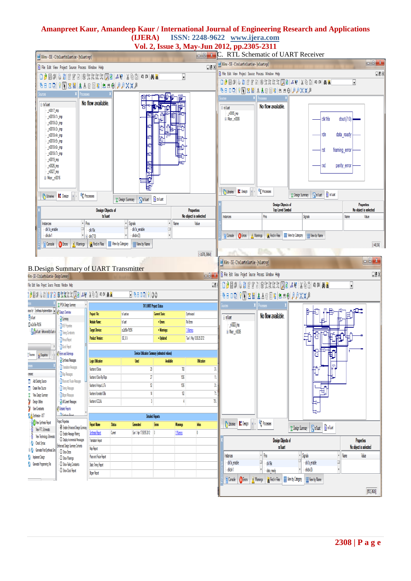# **Amanpreet Kaur, Amandeep Kaur / International Journal of Engineering Research and Applications (IJERA) ISSN: 2248-9622 www.ijera.com**

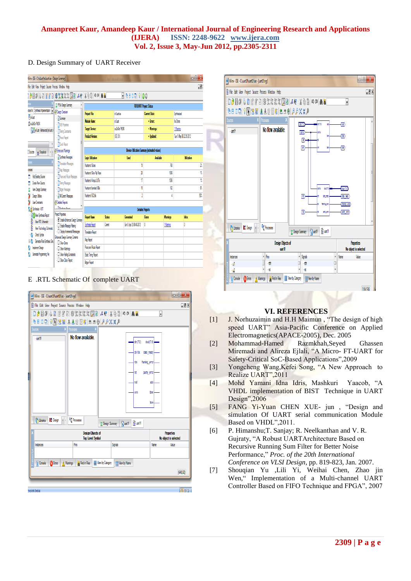#### D. Design Summary of UART Receiver

| $-6x$<br>Glinx - ISE - C-Incluarity aluartise - (Design Summary)                                                                                        |                                                             |                                               |                         |             |                          |                  |                    |                          |  |  |  |
|---------------------------------------------------------------------------------------------------------------------------------------------------------|-------------------------------------------------------------|-----------------------------------------------|-------------------------|-------------|--------------------------|------------------|--------------------|--------------------------|--|--|--|
| File Edit View Project Source Process Window Help<br>$\Box$                                                                                             |                                                             |                                               |                         |             |                          |                  |                    |                          |  |  |  |
| EBB 00 100                                                                                                                                              |                                                             |                                               |                         |             |                          |                  |                    |                          |  |  |  |
|                                                                                                                                                         | <b>E</b> FPGA Design Summary                                | <b>RX1UART Project Status</b>                 |                         |             |                          |                  |                    |                          |  |  |  |
| rcesfor: Synthesis/Implementation   2   43 Design Overview<br><b>F</b> orbat                                                                            | Project File:                                               |                                               | mlatie                  |             | <b>Current State:</b>    |                  | <b>Syrthesized</b> |                          |  |  |  |
| <b>D</b> Sumar<br>fl x250e7t26<br><b>DIDB</b> Procedes<br><b>Magtxiuat - Behavioral (xilvat.v)</b><br><b>T</b> iming Constraints<br><b>Prout Report</b> |                                                             | Module Name:                                  |                         | mlat        |                          | · Errors:        |                    | No Firms                 |  |  |  |
|                                                                                                                                                         |                                                             | <b>Target Device:</b>                         |                         | x250-7056   |                          | · Warnings:      |                    | 1 Warring                |  |  |  |
|                                                                                                                                                         |                                                             | <b>Product Version:</b>                       |                         | Œ           |                          | · Updated:       |                    | Tue 1. Nay 06:32:39 2012 |  |  |  |
|                                                                                                                                                         |                                                             |                                               |                         |             |                          |                  |                    |                          |  |  |  |
| dx<br>Sources<br>el Shaphots                                                                                                                            | <b>Clock Report</b><br><b>Bros ard Warrings</b>             | Device Utilization Summary (estimated values) |                         |             |                          |                  |                    |                          |  |  |  |
| <b>D</b> Synthesis Messages<br><b>SOF</b><br>Translation Messages<br>Map Messages<br>CERES                                                              |                                                             | Logic Utilization                             |                         | <b>Used</b> |                          | <b>Available</b> |                    | <b>Utilization</b>       |  |  |  |
|                                                                                                                                                         |                                                             | Number of Silices                             |                         | 19          |                          | 70               |                    | Ż,                       |  |  |  |
|                                                                                                                                                         |                                                             | Number of Siice Filo Floos                    |                         | 28          |                          | 1536             |                    | İ.                       |  |  |  |
| Add Existing Source                                                                                                                                     | Place and Route Messages                                    | Number of 4 input LUTs                        |                         | 17          |                          | 1536             |                    | î.                       |  |  |  |
| <b>Create New Source</b>                                                                                                                                | <b>Tring Vessages</b>                                       | Number of bonded 10Rs                         |                         |             | 15                       | 10               |                    | ľ.                       |  |  |  |
| View Design Summary<br>Design Lifties                                                                                                                   | <b>Bitgen Messages</b><br><b>D</b> Al Current Messages      | Number of GCL Ks                              |                         | 2           |                          | 4                |                    | 號                        |  |  |  |
| User Constraints                                                                                                                                        | <b><i>C</i></b> Detailed Recorts                            |                                               |                         |             |                          |                  |                    |                          |  |  |  |
| () Synthesize - XST                                                                                                                                     | <b>D</b> Continuis Dennis                                   |                                               | <b>Detailed Reports</b> |             |                          |                  |                    |                          |  |  |  |
| Vew Synthesis Report                                                                                                                                    | <b>Project Properties</b>                                   | <b>Report Name</b>                            | Status                  |             | Generated                | <b>Frros</b>     | Warrings           | <b>Irics</b>             |  |  |  |
| B<br>View RTL Schematic                                                                                                                                 | E Enable Enhanced Design Summary                            | <b>Synthesis Report</b>                       | Curent                  |             | Sun 8. Apr 23:08:48 2012 | O                | 1 Warring          | Ō                        |  |  |  |
| B<br>View Technology Schematic                                                                                                                          | D Enable Message Filtering<br>Display Incremental Messsages | <b>Translation Record</b>                     |                         |             |                          |                  |                    |                          |  |  |  |
| <b>Check Syntax</b>                                                                                                                                     | Enhanced Design Summary Contents                            |                                               |                         |             |                          |                  |                    |                          |  |  |  |
| Generate Post-Simthesis Simu                                                                                                                            | $\Box$ Show Fros                                            | No Feron                                      |                         |             |                          |                  |                    |                          |  |  |  |
| rolenert Design                                                                                                                                         | <b>D</b> Show Warrings                                      | Place and Route Record                        |                         |             |                          |                  |                    |                          |  |  |  |
| Generate Programming File                                                                                                                               | $\Box$ Show Faling Constraints<br>Show Clock Report         | <b>State Timing Record</b>                    |                         |             |                          |                  |                    |                          |  |  |  |
|                                                                                                                                                         |                                                             | Bitgen Report                                 |                         |             |                          |                  |                    |                          |  |  |  |

#### E .RTL Schematic Of complete UART





# **VI. REFERENCES**

- [1] J. Norhuzaimin and H.H Maimun , "The design of high speed UART" Asia-Pacific Conference on Applied Electromagnetics(APACE-2005), Dec. 2005
- [2] Mohammad-Hamed Razmkhah,Seyed Ghassen Miremadi and Alireza Ejlali, "A Micro- FT-UART for Safety-Critical SoC-Based Applications",2009
- [3] Yongcheng Wang,Kefei Song, "A New Approach to Realize UART",2011
- [4] Mohd Yamani Idna Idris, Mashkuri Yaacob, "A VHDL implementation of BIST Technique in UART Design",2006
- [5] FANG Yi-Yuan CHEN XUE- jun , "Design and simulation Of UART serial communication Module Based on VHDL",2011.
- [6] P. Himanshu;T. Sanjay; R. Neelkanthan and V. R. Gujraty, "A Robust UARTArchitecture Based on Recursive Running Sum Filter for Better Noise Performance," *Proc. of the 20th International Conference on VLSI Design*, pp. 819-823, Jan. 2007.
- [7] Shouqian Yu ,Lili Yi, Weihai Chen, Zhao jin Wen," Implementation of a Multi-channel UART Controller Based on FIFO Technique and FPGA", 2007